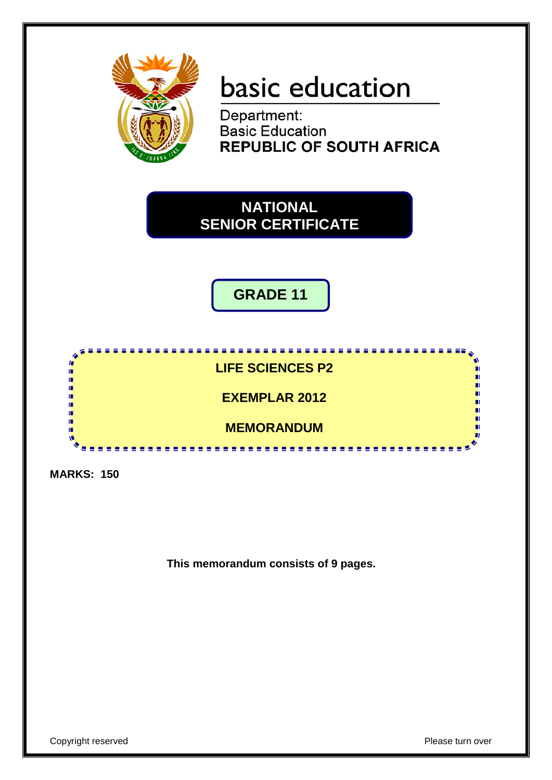

# basic education

Department: **Basic Education REPUBLIC OF SOUTH AFRICA** 

## **NATIONAL SENIOR CERTIFICATE**

**GRADE 11**



**MARKS: 150**

**This memorandum consists of 9 pages.**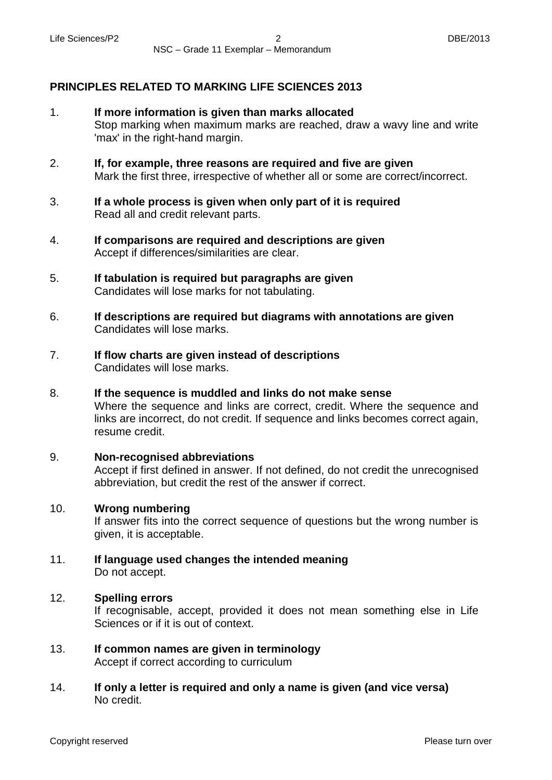### **PRINCIPLES RELATED TO MARKING LIFE SCIENCES 2013**

- 1. **If more information is given than marks allocated** Stop marking when maximum marks are reached, draw a wavy line and write 'max' in the right-hand margin.
- 2. **If, for example, three reasons are required and five are given** Mark the first three, irrespective of whether all or some are correct/incorrect.
- 3. **If a whole process is given when only part of it is required** Read all and credit relevant parts.
- 4. **If comparisons are required and descriptions are given** Accept if differences/similarities are clear.
- 5. **If tabulation is required but paragraphs are given** Candidates will lose marks for not tabulating.
- 6. **If descriptions are required but diagrams with annotations are given** Candidates will lose marks.
- 7. **If flow charts are given instead of descriptions** Candidates will lose marks.
- 8. **If the sequence is muddled and links do not make sense** Where the sequence and links are correct, credit. Where the sequence and links are incorrect, do not credit. If sequence and links becomes correct again, resume credit.
	- **Non-recognised abbreviations** Accept if first defined in answer. If not defined, do not credit the unrecognised abbreviation, but credit the rest of the answer if correct.

#### 10. **Wrong numbering**

9.

If answer fits into the correct sequence of questions but the wrong number is given, it is acceptable.

11. **If language used changes the intended meaning** Do not accept.

#### 12. **Spelling errors**

If recognisable, accept, provided it does not mean something else in Life Sciences or if it is out of context.

- 13. **If common names are given in terminology** Accept if correct according to curriculum
- 14. **If only a letter is required and only a name is given (and vice versa)** No credit.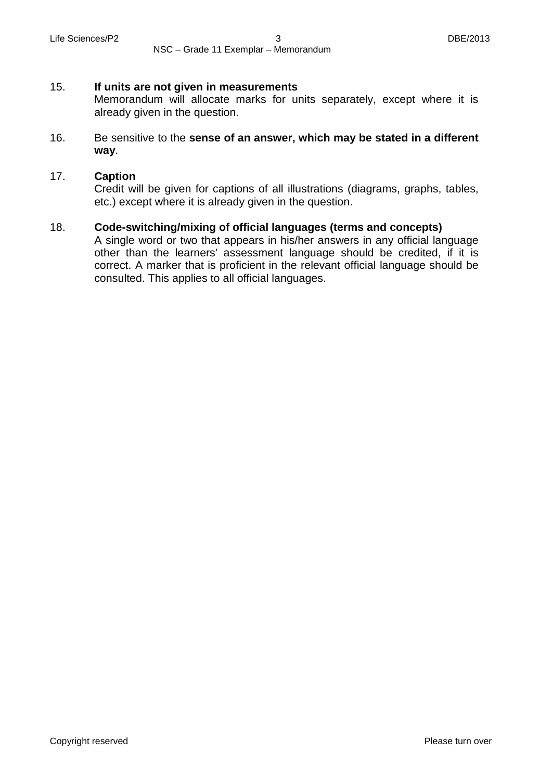NSC – Grade 11 Exemplar – Memorandum

#### 15. **If units are not given in measurements**

Memorandum will allocate marks for units separately, except where it is already given in the question.

16. Be sensitive to the **sense of an answer, which may be stated in a different way**.

#### 17. **Caption**

Credit will be given for captions of all illustrations (diagrams, graphs, tables, etc.) except where it is already given in the question.

#### 18. **Code-switching/mixing of official languages (terms and concepts)**

A single word or two that appears in his/her answers in any official language other than the learners' assessment language should be credited, if it is correct. A marker that is proficient in the relevant official language should be consulted. This applies to all official languages.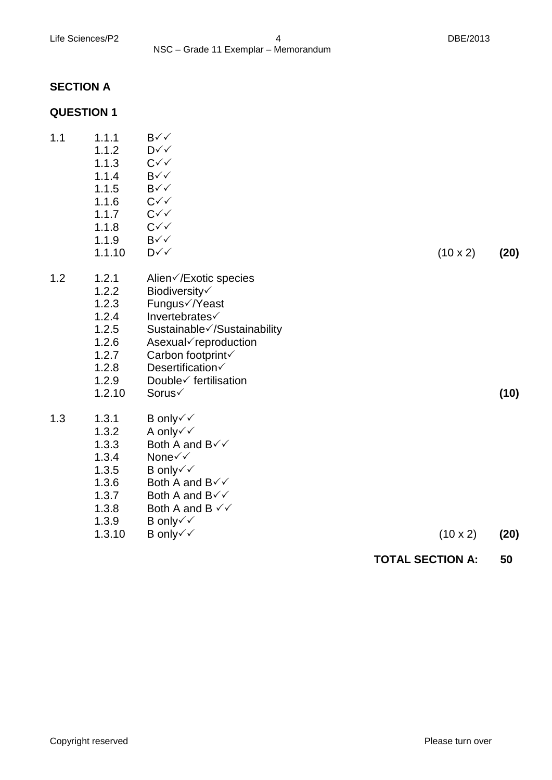### **SECTION A**

### **QUESTION 1**

| Sustainable√/Sustainability<br>Asexual√reproduction<br>Carbon footprint√<br>Double√ fertilisation<br>Both A and B $\checkmark\checkmark$<br>$(10 \times 2)$ | (10)<br>(20) |
|-------------------------------------------------------------------------------------------------------------------------------------------------------------|--------------|
|                                                                                                                                                             |              |
| Alien√/Exotic species                                                                                                                                       |              |
| $(10 \times 2)$                                                                                                                                             | (20)         |
|                                                                                                                                                             |              |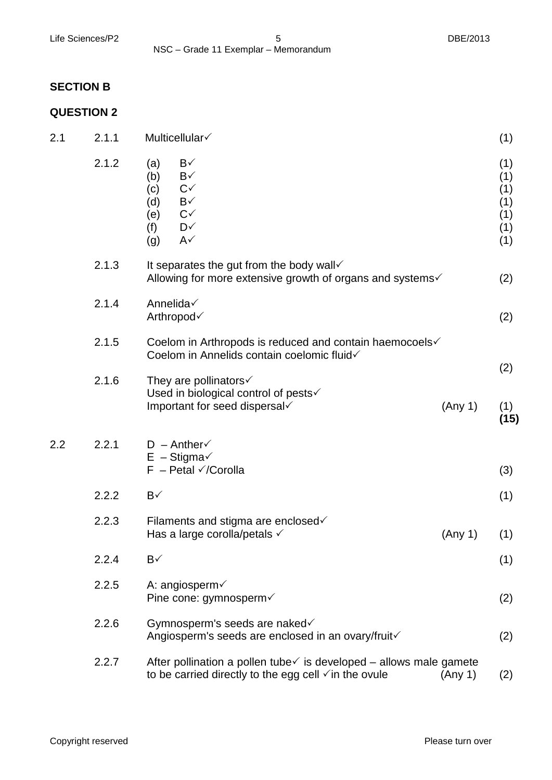### **SECTION B**

### **QUESTION 2**

| 2.1 | 2.1.1 | Multicellular√                                                                                                                                                | (1)                                           |
|-----|-------|---------------------------------------------------------------------------------------------------------------------------------------------------------------|-----------------------------------------------|
|     | 2.1.2 | B√<br>(a)<br>B√<br>(b)<br>$C\checkmark$<br>(c)<br>$B\checkmark$<br>(d)<br>$C\checkmark$<br>(e)<br>D√<br>(f)<br>$A\checkmark$<br>(g)                           | (1)<br>(1)<br>(1)<br>(1)<br>(1)<br>(1)<br>(1) |
|     | 2.1.3 | It separates the gut from the body wall $\checkmark$<br>Allowing for more extensive growth of organs and systems√                                             | (2)                                           |
|     | 2.1.4 | Annelida√<br>Arthropod√                                                                                                                                       | (2)                                           |
|     | 2.1.5 | Coelom in Arthropods is reduced and contain haemocoels√<br>Coelom in Annelids contain coelomic fluid√                                                         |                                               |
|     | 2.1.6 | They are pollinators $\checkmark$<br>Used in biological control of pests√<br>Important for seed dispersal<br>(Any 1)                                          | (2)<br>(1)<br>(15)                            |
| 2.2 | 2.2.1 | $D - Anther \checkmark$<br>$E -$ Stigma $\checkmark$<br>$F - Petal \checkmark$ Corolla                                                                        | (3)                                           |
|     | 2.2.2 | $B\checkmark$                                                                                                                                                 | (1)                                           |
|     | 2.2.3 | Filaments and stigma are enclosed√<br>Has a large corolla/petals $\checkmark$<br>(Any 1)                                                                      | (1)                                           |
|     | 2.2.4 | B√                                                                                                                                                            | (1)                                           |
|     | 2.2.5 | A: angiosperm $\checkmark$<br>Pine cone: gymnosperm√                                                                                                          | (2)                                           |
|     | 2.2.6 | Gymnosperm's seeds are naked√<br>Angiosperm's seeds are enclosed in an ovary/fruit√                                                                           | (2)                                           |
|     | 2.2.7 | After pollination a pollen tube $\checkmark$ is developed – allows male gamete<br>to be carried directly to the egg cell $\checkmark$ in the ovule<br>(Any 1) | (2)                                           |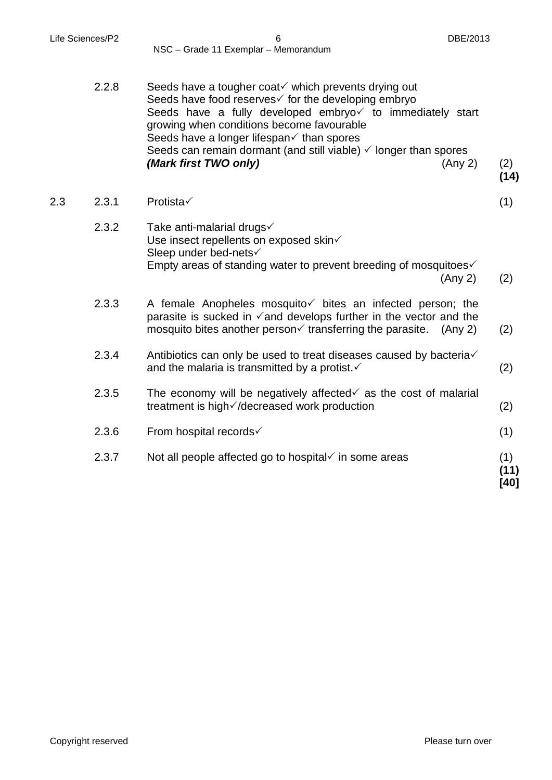2.3 2.3.1

(2) **(14)**

(1)

(2)

(2)

(2)

(2)

(1)

| 2.2.8 | Seeds have a tougher coat√ which prevents drying out<br>Seeds have food reserves√ for the developing embryo<br>Seeds have a fully developed embryo√ to immediately start<br>growing when conditions become favourable<br>Seeds have a longer lifespan√ than spores<br>Seeds can remain dormant (and still viable) $\checkmark$ longer than spores<br>(Mark first TWO only)<br>(Any 2) |
|-------|---------------------------------------------------------------------------------------------------------------------------------------------------------------------------------------------------------------------------------------------------------------------------------------------------------------------------------------------------------------------------------------|
| 2.3.1 | Protista√                                                                                                                                                                                                                                                                                                                                                                             |
| 2.3.2 | Take anti-malarial drugs√<br>Use insect repellents on exposed skin $\checkmark$<br>Sleep under bed-nets√<br>Empty areas of standing water to prevent breeding of mosquitoes $\checkmark$<br>(Any 2)                                                                                                                                                                                   |
| 2.3.3 | A female Anopheles mosquito $\checkmark$ bites an infected person; the<br>parasite is sucked in $\checkmark$ and develops further in the vector and the<br>mosquito bites another person $\checkmark$ transferring the parasite. (Any 2)                                                                                                                                              |
| 2.3.4 | Antibiotics can only be used to treat diseases caused by bacteria√<br>and the malaria is transmitted by a protist. ✓                                                                                                                                                                                                                                                                  |
| 2.3.5 | The economy will be negatively affected $\checkmark$ as the cost of malarial<br>treatment is high√/decreased work production                                                                                                                                                                                                                                                          |
| 2.3.6 | From hospital records√                                                                                                                                                                                                                                                                                                                                                                |
| 2.3.7 | Not all people affected go to hospital $\checkmark$ in some areas                                                                                                                                                                                                                                                                                                                     |

**(11) [40]**

(1)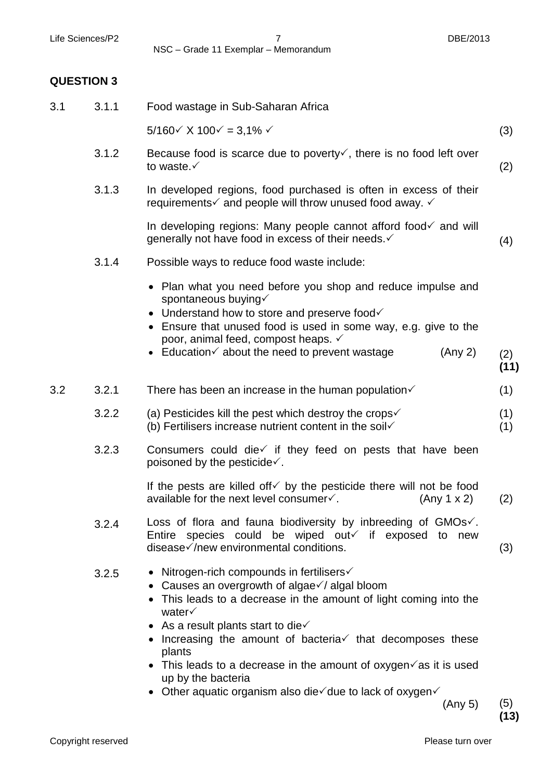Life Sciences/P2 7 DBE/2013 NSC – Grade 11 Exemplar – Memorandum

### **QUESTION 3**

| 3.1 | 3.1.1 | Food wastage in Sub-Saharan Africa                                                                                                                                                                                                                                                                                                                                                                                                                                                                                                                  |             |
|-----|-------|-----------------------------------------------------------------------------------------------------------------------------------------------------------------------------------------------------------------------------------------------------------------------------------------------------------------------------------------------------------------------------------------------------------------------------------------------------------------------------------------------------------------------------------------------------|-------------|
|     |       | $5/160 \times X 100 \times = 3,1\% \times$                                                                                                                                                                                                                                                                                                                                                                                                                                                                                                          | (3)         |
|     | 3.1.2 | Because food is scarce due to poverty $\checkmark$ , there is no food left over<br>to waste. $\checkmark$                                                                                                                                                                                                                                                                                                                                                                                                                                           | (2)         |
|     | 3.1.3 | In developed regions, food purchased is often in excess of their<br>requirements $\checkmark$ and people will throw unused food away. $\checkmark$                                                                                                                                                                                                                                                                                                                                                                                                  |             |
|     |       | In developing regions: Many people cannot afford food $\checkmark$ and will<br>generally not have food in excess of their needs. ✓                                                                                                                                                                                                                                                                                                                                                                                                                  | (4)         |
|     | 3.1.4 | Possible ways to reduce food waste include:                                                                                                                                                                                                                                                                                                                                                                                                                                                                                                         |             |
|     |       | • Plan what you need before you shop and reduce impulse and<br>spontaneous buying√<br>• Understand how to store and preserve food<br>• Ensure that unused food is used in some way, e.g. give to the<br>poor, animal feed, compost heaps. ✓<br>• Education $\checkmark$ about the need to prevent wastage<br>(Any 2)                                                                                                                                                                                                                                | (2)<br>(11) |
| 3.2 | 3.2.1 | There has been an increase in the human population $\checkmark$                                                                                                                                                                                                                                                                                                                                                                                                                                                                                     | (1)         |
|     | 3.2.2 | (a) Pesticides kill the pest which destroy the crops $\checkmark$<br>(b) Fertilisers increase nutrient content in the soil $\checkmark$                                                                                                                                                                                                                                                                                                                                                                                                             | (1)<br>(1)  |
|     | 3.2.3 | Consumers could die√ if they feed on pests that have been<br>poisoned by the pesticide $\checkmark$ .                                                                                                                                                                                                                                                                                                                                                                                                                                               |             |
|     |       | If the pests are killed of $\sqrt{}$ by the pesticide there will not be food<br>available for the next level consumer√.<br>(Any 1 x 2)                                                                                                                                                                                                                                                                                                                                                                                                              | (2)         |
|     | 3.2.4 | Loss of flora and fauna biodiversity by inbreeding of $GMOs\checkmark$ .<br>Entire species could be wiped out if exposed to new<br>disease√/new environmental conditions.                                                                                                                                                                                                                                                                                                                                                                           | (3)         |
|     | 3.2.5 | • Nitrogen-rich compounds in fertilisers $\checkmark$<br>• Causes an overgrowth of algae $\sqrt{}$ algal bloom<br>• This leads to a decrease in the amount of light coming into the<br>water $\checkmark$<br>• As a result plants start to die $\checkmark$<br>$\bullet$ Increasing the amount of bacteria $\checkmark$ that decomposes these<br>plants<br>• This leads to a decrease in the amount of oxygen $\checkmark$ as it is used<br>up by the bacteria<br>• Other aquatic organism also die $\checkmark$ due to lack of oxygen $\checkmark$ |             |

(Any 5) (5)

**(13)**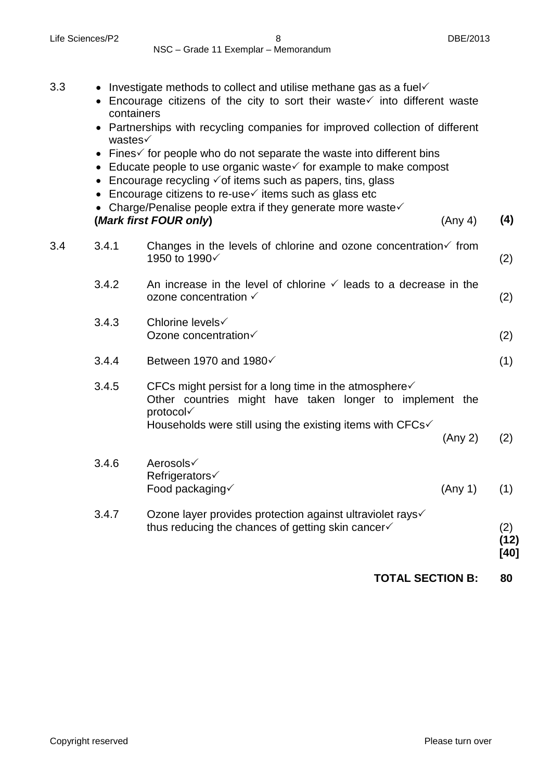NSC – Grade 11 Exemplar – Memorandum

- 3.3 Investigate methods to collect and utilise methane gas as a fuel  $\checkmark$ 
	- Encourage citizens of the city to sort their waste $\checkmark$  into different waste containers
	- Partnerships with recycling companies for improved collection of different wastes√
	- Fines $\checkmark$  for people who do not separate the waste into different bins
	- Educate people to use organic waste $\checkmark$  for example to make compost
	- Encourage recycling  $\checkmark$  of items such as papers, tins, glass
	- Encourage citizens to re-use $\checkmark$  items such as glass etc
	- Charge/Penalise people extra if they generate more waste $\checkmark$ **(***Mark first FOUR only***)** (Any 4) **(4)**
- 3.4 3.4.1 Changes in the levels of chlorine and ozone concentration  $\checkmark$  from 1950 to 1990 (2)
	- 3.4.2 An increase in the level of chlorine  $\checkmark$  leads to a decrease in the ozone concentration  $\checkmark$ (2)
	- 3.4.3 Chlorine levels√ Ozone concentration√ (2)
	- 3.4.4 Between 1970 and 1980 $\checkmark$
	- 3.4.5 CFCs might persist for a long time in the atmosphere $\checkmark$ Other countries might have taken longer to implement the protocol Households were still using the existing items with  $CFCs\checkmark$

(Any 2) (2)

- 3.4.6 Aerosols **Refrigerators√** Food packaging  $\checkmark$  (Any 1) (1)
- 3.4.7 Ozone layer provides protection against ultraviolet rays√ thus reducing the chances of getting skin cancer $\checkmark$ (2)

**(12) [40]**

(1)

**TOTAL SECTION B: 80**